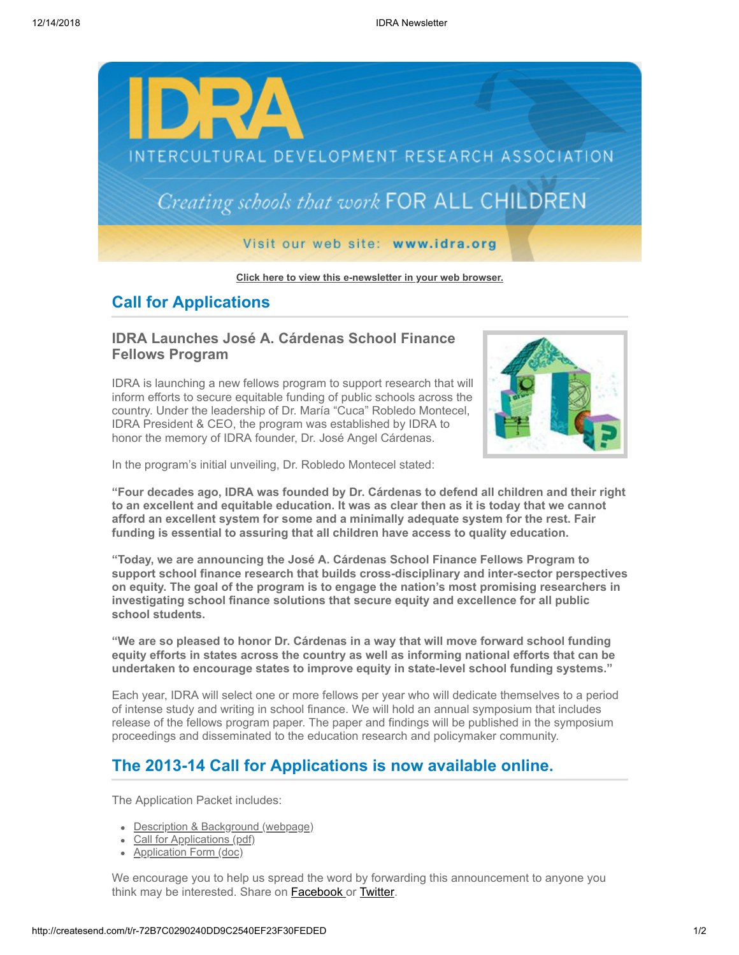

**[Click here to view this e-newsletter in your web browser.](http://newsletter.impulsedevelopment.com/t/r-e-bojtik-l-r/)**

## **Call for Applications**

## **IDRA Launches José A. Cárdenas School Finance Fellows Program**

IDRA is launching a new fellows program to support research that will inform efforts to secure equitable funding of public schools across the country. Under the leadership of Dr. María "Cuca" Robledo Montecel, IDRA President & CEO, the program was established by IDRA to honor the memory of IDRA founder, Dr. José Angel Cárdenas.



In the program's initial unveiling, Dr. Robledo Montecel stated:

**"Four decades ago, IDRA was founded by Dr. Cárdenas to defend all children and their right to an excellent and equitable education. It was as clear then as it is today that we cannot afford an excellent system for some and a minimally adequate system for the rest. Fair funding is essential to assuring that all children have access to quality education.**

**"Today, we are announcing the José A. Cárdenas School Finance Fellows Program to support school finance research that builds cross-disciplinary and inter-sector perspectives on equity. The goal of the program is to engage the nation's most promising researchers in investigating school finance solutions that secure equity and excellence for all public school students.**

**"We are so pleased to honor Dr. Cárdenas in a way that will move forward school funding equity efforts in states across the country as well as informing national efforts that can be undertaken to encourage states to improve equity in state-level school funding systems."**

Each year, IDRA will select one or more fellows per year who will dedicate themselves to a period of intense study and writing in school finance. We will hold an annual symposium that includes release of the fellows program paper. The paper and findings will be published in the symposium proceedings and disseminated to the education research and policymaker community.

## **The 2013-14 Call for Applications is now available online.**

The Application Packet includes:

- [Description & Background \(webpage\)](http://idra.createsend1.com/t/r-l-bojtik-l-i/)
- [Call for Applications \(pdf\)](http://idra.createsend1.com/t/r-l-bojtik-l-d/)
- [Application Form \(doc\)](http://idra.createsend1.com/t/r-l-bojtik-l-o/)

We encourage you to help us spread the word by forwarding this announcement to anyone you think may be interested. Share on **Facebook** or **Twitter**.